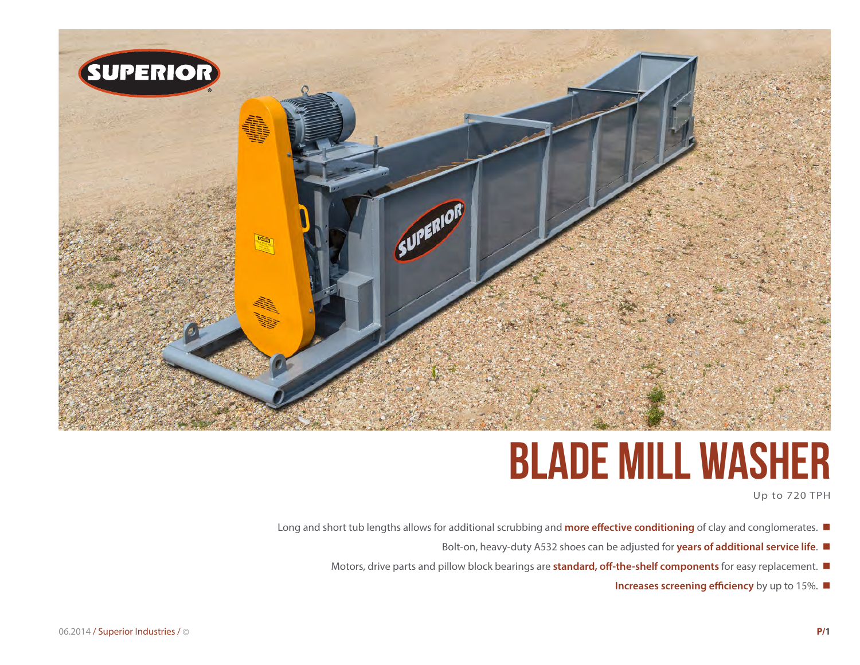

# **blade mill Washer**

Up to 720 TPH

- Long and short tub lengths allows for additional scrubbing and **more effective conditioning** of clay and conglomerates.
	- Bolt-on, heavy-duty A532 shoes can be adjusted for **years of additional service life**.
	- Motors, drive parts and pillow block bearings are **standard, off-the-shelf components** for easy replacement.  $\blacksquare$ 
		- **Increases screening efficiency** by up to 15%.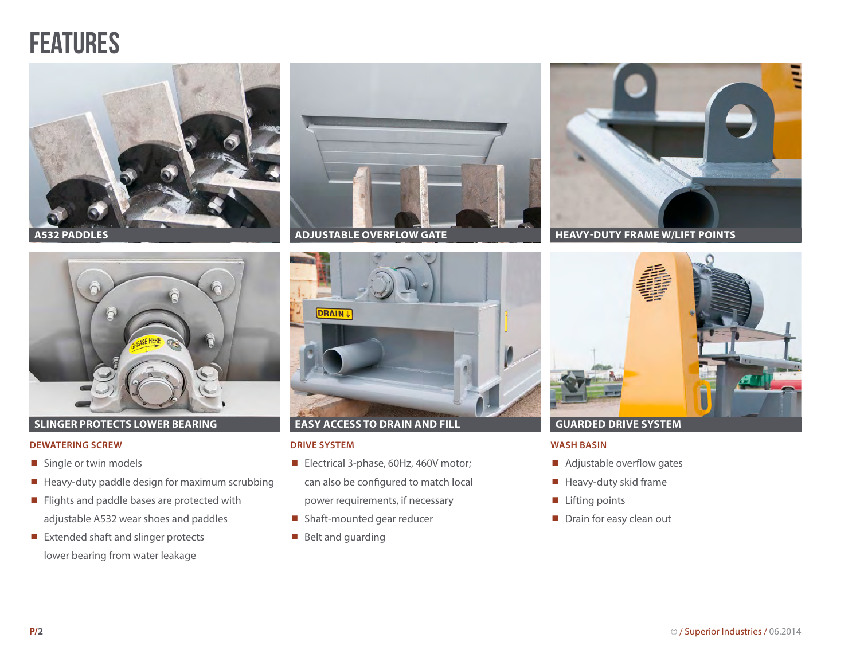# **FEATURES**





### **SLINGER PROTECTS LOWER BEARING**

#### **DEWATERING SCREW**

- Single or twin models
- Heavy-duty paddle design for maximum scrubbing
- Flights and paddle bases are protected with adjustable A532 wear shoes and paddles
- $\blacksquare$  Extended shaft and slinger protects lower bearing from water leakage





### **EASY ACCESS TO DRAIN AND FILL**

### **DRIVE SYSTEM**

- Electrical 3-phase, 60Hz, 460V motor; can also be configured to match local power requirements, if necessary
- Shaft-mounted gear reducer
- $\blacksquare$  Belt and guarding





### **GUARDED DRIVE SYSTEM**

#### **WASH BASIN**

- Adjustable overflow gates
- $\blacksquare$  Heavy-duty skid frame
- Lifting points
- Drain for easy clean out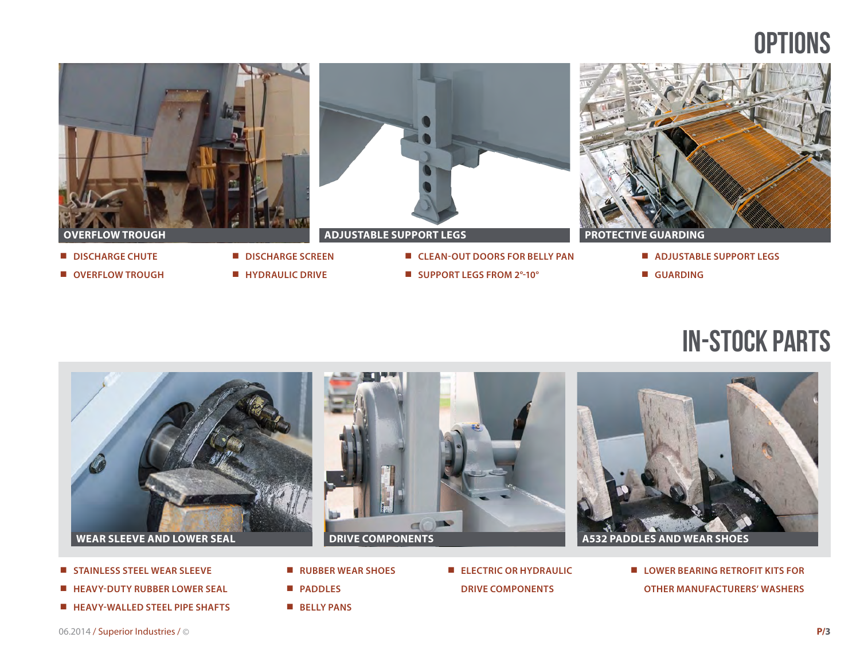# **OPTIONS**



## in-stock parts



- **STAINLESS STEEL WEAR SLEEVE**
- **HEAVY-DUTY RUBBER LOWER SEAL**
- **HEAVY-WALLED STEEL PIPE SHAFTS**
- **RUBBER WEAR SHOES**
- **PADDLES**
- **BELLY PANS**

 **ELECTRIC OR HYDRAULIC DRIVE COMPONENTS**

 **LOWER BEARING RETROFIT KITS FOR OTHER MANUFACTURERS' WASHERS**